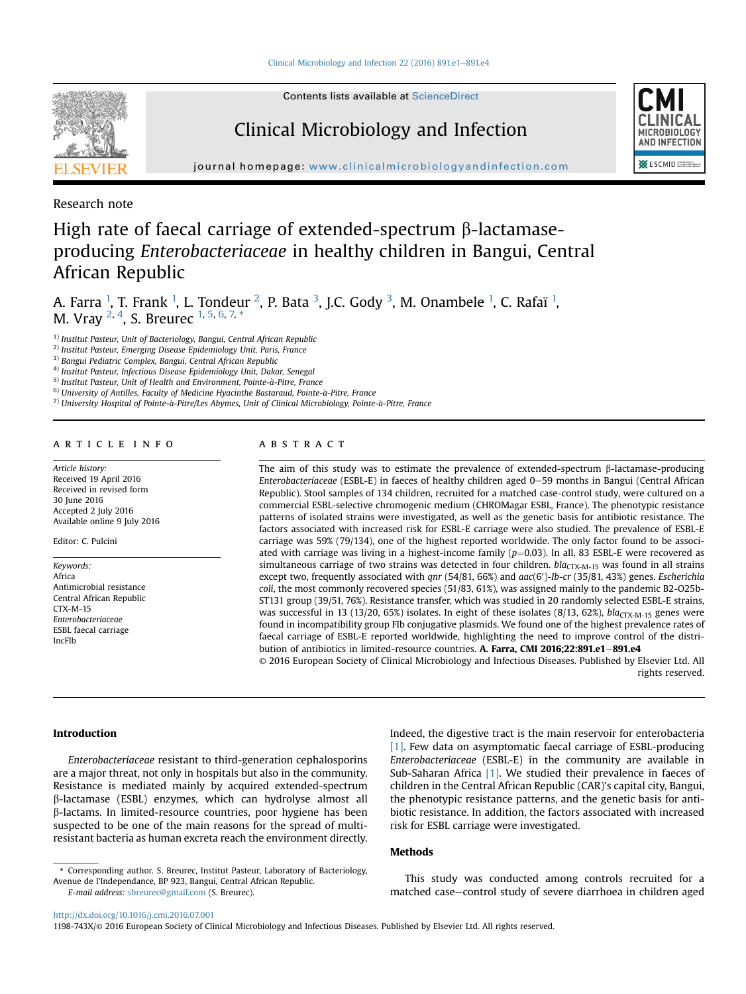

Contents lists available at [ScienceDirect](www.sciencedirect.com/science/journal/1198743X)

## Clinical Microbiology and Infection



journal homepage: [www.clinicalmicrobiologyandinfection.com](http://www.clinicalmicrobiologyandinfection.com)

Research note

# High rate of faecal carriage of extended-spectrum  $\beta$ -lactamaseproducing Enterobacteriaceae in healthy children in Bangui, Central African Republic

A. Farra  $^1$ , T. Frank  $^1$ , L. Tondeur  $^2$ , P. Bata  $^3$ , J.C. Gody  $^3$ , M. Onambele  $^1$ , C. Rafaï  $^1$ , M. Vray <sup>2, 4</sup>, S. Breurec <sup>1, 5, 6, 7, \*</sup>

 $1)$  Institut Pasteur, Unit of Bacteriology, Bangui, Central African Republic

<sup>2)</sup> Institut Pasteur, Emerging Disease Epidemiology Unit, Paris, France

3) Bangui Pediatric Complex, Bangui, Central African Republic

4) Institut Pasteur, Infectious Disease Epidemiology Unit, Dakar, Senegal

 $^{\rm 5)}$  Institut Pasteur, Unit of Health and Environment, Pointe-à-Pitre, France

 $^{6)}$  University of Antilles, Faculty of Medicine Hyacinthe Bastaraud, Pointe-à-Pitre, France

 $7)$  University Hospital of Pointe-à-Pitre/Les Abymes, Unit of Clinical Microbiology, Pointe-à-Pitre, France

#### article info

Article history: Received 19 April 2016 Received in revised form 30 June 2016 Accepted 2 July 2016 Available online 9 July 2016

Editor: C. Pulcini

Keywords: Africa Antimicrobial resistance Central African Republic CTX-M-15 Enterobacteriaceae ESBL faecal carriage IncFIb

#### ABSTRACT

The aim of this study was to estimate the prevalence of extended-spectrum  $\beta$ -lactamase-producing Enterobacteriaceae (ESBL-E) in faeces of healthy children aged 0–59 months in Bangui (Central African Republic). Stool samples of 134 children, recruited for a matched case-control study, were cultured on a commercial ESBL-selective chromogenic medium (CHROMagar ESBL, France). The phenotypic resistance patterns of isolated strains were investigated, as well as the genetic basis for antibiotic resistance. The factors associated with increased risk for ESBL-E carriage were also studied. The prevalence of ESBL-E carriage was 59% (79/134), one of the highest reported worldwide. The only factor found to be associated with carriage was living in a highest-income family  $(p=0.03)$ . In all, 83 ESBL-E were recovered as simultaneous carriage of two strains was detected in four children.  $bla_{\text{CTX-M-15}}$  was found in all strains except two, frequently associated with qnr  $(54/81, 66%)$  and  $aac(6')$ -Ib-cr  $(35/81, 43%)$  genes. Escherichia coli, the most commonly recovered species (51/83, 61%), was assigned mainly to the pandemic B2-O25b-ST131 group (39/51, 76%). Resistance transfer, which was studied in 20 randomly selected ESBL-E strains, was successful in 13 (13/20, 65%) isolates. In eight of these isolates (8/13, 62%),  $bla_{\text{CTX-M-15}}$  genes were found in incompatibility group FIb conjugative plasmids. We found one of the highest prevalence rates of faecal carriage of ESBL-E reported worldwide, highlighting the need to improve control of the distribution of antibiotics in limited-resource countries. A. Farra, CMI 2016;22:891.e1-891.e4

© 2016 European Society of Clinical Microbiology and Infectious Diseases. Published by Elsevier Ltd. All rights reserved.

#### Introduction

Enterobacteriaceae resistant to third-generation cephalosporins are a major threat, not only in hospitals but also in the community. Resistance is mediated mainly by acquired extended-spectrum b-lactamase (ESBL) enzymes, which can hydrolyse almost all b-lactams. In limited-resource countries, poor hygiene has been suspected to be one of the main reasons for the spread of multiresistant bacteria as human excreta reach the environment directly.

E-mail address: [sbreurec@gmail.com](mailto:sbreurec@gmail.com) (S. Breurec).

Indeed, the digestive tract is the main reservoir for enterobacteria [\[1\]](#page-2-0). Few data on asymptomatic faecal carriage of ESBL-producing Enterobacteriaceae (ESBL-E) in the community are available in Sub-Saharan Africa [\[1\].](#page-2-0) We studied their prevalence in faeces of children in the Central African Republic (CAR)'s capital city, Bangui, the phenotypic resistance patterns, and the genetic basis for antibiotic resistance. In addition, the factors associated with increased risk for ESBL carriage were investigated.

### Methods

This study was conducted among controls recruited for a matched case-control study of severe diarrhoea in children aged

<sup>\*</sup> Corresponding author. S. Breurec, Institut Pasteur, Laboratory of Bacteriology, Avenue de l'Independance, BP 923, Bangui, Central African Republic.

<http://dx.doi.org/10.1016/j.cmi.2016.07.001>

<sup>1198-743</sup>X/© 2016 European Society of Clinical Microbiology and Infectious Diseases. Published by Elsevier Ltd. All rights reserved.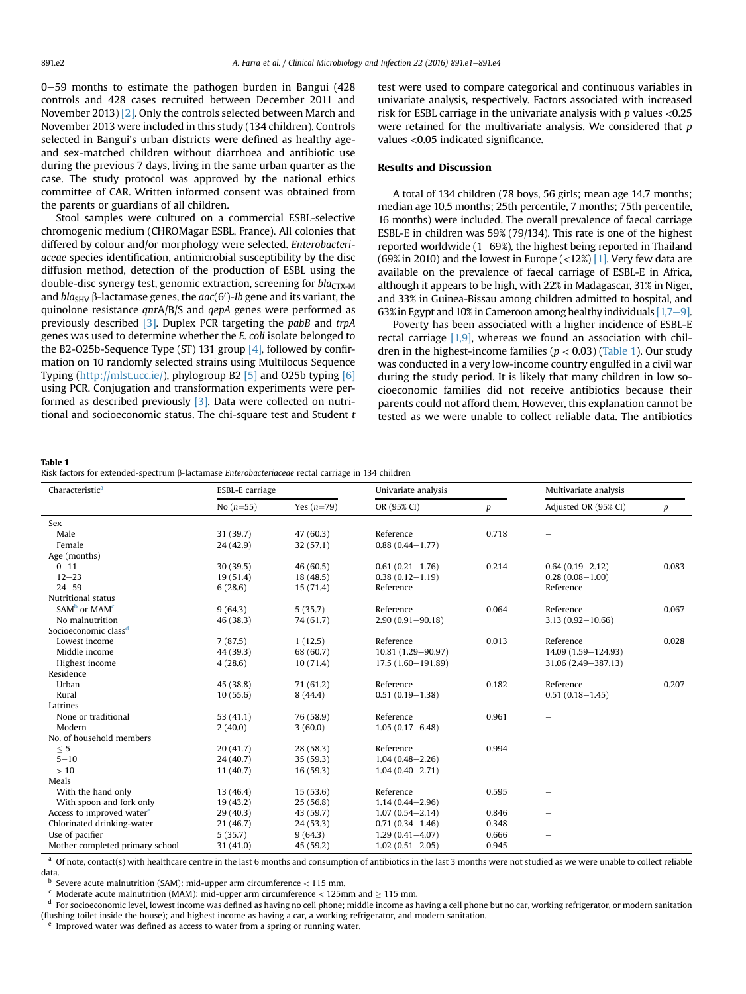$0-59$  months to estimate the pathogen burden in Bangui (428) controls and 428 cases recruited between December 2011 and November 2013) [\[2\]](#page-2-0). Only the controls selected between March and November 2013 were included in this study (134 children). Controls selected in Bangui's urban districts were defined as healthy ageand sex-matched children without diarrhoea and antibiotic use during the previous 7 days, living in the same urban quarter as the case. The study protocol was approved by the national ethics committee of CAR. Written informed consent was obtained from the parents or guardians of all children.

Stool samples were cultured on a commercial ESBL-selective chromogenic medium (CHROMagar ESBL, France). All colonies that differed by colour and/or morphology were selected. Enterobacteriaceae species identification, antimicrobial susceptibility by the disc diffusion method, detection of the production of ESBL using the double-disc synergy test, genomic extraction, screening for  $bla_{\text{CTX-M}}$ and bla<sub>SHV</sub> β-lactamase genes, the aac(6′)-Ib gene and its variant, the quinolone resistance qnrA/B/S and qepA genes were performed as previously described [\[3\].](#page-2-0) Duplex PCR targeting the pabB and trpA genes was used to determine whether the E. coli isolate belonged to the B2-O25b-Sequence Type (ST) 131 group  $[4]$ , followed by confirmation on 10 randomly selected strains using Multilocus Sequence Typing (<http://mlst.ucc.ie/>), phylogroup B2 [\[5\]](#page-2-0) and O25b typing [\[6\]](#page-2-0) using PCR. Conjugation and transformation experiments were performed as described previously [\[3\].](#page-2-0) Data were collected on nutritional and socioeconomic status. The chi-square test and Student  $t$  test were used to compare categorical and continuous variables in univariate analysis, respectively. Factors associated with increased risk for ESBL carriage in the univariate analysis with  $p$  values <0.25 were retained for the multivariate analysis. We considered that  $p$ values <0.05 indicated significance.

#### Results and Discussion

A total of 134 children (78 boys, 56 girls; mean age 14.7 months; median age 10.5 months; 25th percentile, 7 months; 75th percentile, 16 months) were included. The overall prevalence of faecal carriage ESBL-E in children was 59% (79/134). This rate is one of the highest reported worldwide  $(1-69%)$ , the highest being reported in Thailand (69% in 2010) and the lowest in Europe (<12%)  $[1]$ . Very few data are available on the prevalence of faecal carriage of ESBL-E in Africa, although it appears to be high, with 22% in Madagascar, 31% in Niger, and 33% in Guinea-Bissau among children admitted to hospital, and 63% in Egypt and 10% in Cameroon among healthy individuals  $[1,7-9]$  $[1,7-9]$ .

Poverty has been associated with a higher incidence of ESBL-E rectal carriage [\[1,9\]](#page-2-0), whereas we found an association with children in the highest-income families ( $p < 0.03$ ) (Table 1). Our study was conducted in a very low-income country engulfed in a civil war during the study period. It is likely that many children in low socioeconomic families did not receive antibiotics because their parents could not afford them. However, this explanation cannot be tested as we were unable to collect reliable data. The antibiotics

Table 1

|  | Risk factors for extended-spectrum β-lactamase Enterobacteriaceae rectal carriage in 134 children |  |
|--|---------------------------------------------------------------------------------------------------|--|
|--|---------------------------------------------------------------------------------------------------|--|

| Characteristic <sup>a</sup><br>ESBL-E carriage |             | Univariate analysis |                      | Multivariate analysis |                      |       |
|------------------------------------------------|-------------|---------------------|----------------------|-----------------------|----------------------|-------|
|                                                | No $(n=55)$ | Yes $(n=79)$        | OR (95% CI)          | $\boldsymbol{p}$      | Adjusted OR (95% CI) | p     |
| Sex                                            |             |                     |                      |                       |                      |       |
| Male                                           | 31 (39.7)   | 47(60.3)            | Reference            | 0.718                 |                      |       |
| Female                                         | 24 (42.9)   | 32 (57.1)           | $0.88(0.44 - 1.77)$  |                       |                      |       |
| Age (months)                                   |             |                     |                      |                       |                      |       |
| $0 - 11$                                       | 30 (39.5)   | 46(60.5)            | $0.61(0.21 - 1.76)$  | 0.214                 | $0.64(0.19 - 2.12)$  | 0.083 |
| $12 - 23$                                      | 19(51.4)    | 18(48.5)            | $0.38(0.12 - 1.19)$  |                       | $0.28(0.08 - 1.00)$  |       |
| $24 - 59$                                      | 6(28.6)     | 15(71.4)            | Reference            |                       | Reference            |       |
| Nutritional status                             |             |                     |                      |                       |                      |       |
| SAM <sup>b</sup> or MAM <sup>c</sup>           | 9(64.3)     | 5(35.7)             | Reference            | 0.064                 | Reference            | 0.067 |
| No malnutrition                                | 46(38.3)    | 74 (61.7)           | $2.90(0.91 - 90.18)$ |                       | $3.13(0.92 - 10.66)$ |       |
| Socioeconomic class <sup>d</sup>               |             |                     |                      |                       |                      |       |
| Lowest income                                  | 7(87.5)     | 1(12.5)             | Reference            | 0.013                 | Reference            | 0.028 |
| Middle income                                  | 44 (39.3)   | 68 (60.7)           | 10.81 (1.29-90.97)   |                       | 14.09 (1.59-124.93)  |       |
| Highest income                                 | 4(28.6)     | 10(71.4)            | 17.5 (1.60-191.89)   |                       | 31.06 (2.49-387.13)  |       |
| Residence                                      |             |                     |                      |                       |                      |       |
| Urban                                          | 45(38.8)    | 71(61.2)            | Reference            | 0.182                 | Reference            | 0.207 |
| Rural                                          | 10(55.6)    | 8(44.4)             | $0.51(0.19 - 1.38)$  |                       | $0.51(0.18 - 1.45)$  |       |
| Latrines                                       |             |                     |                      |                       |                      |       |
| None or traditional                            | 53(41.1)    | 76 (58.9)           | Reference            | 0.961                 |                      |       |
| Modern                                         | 2(40.0)     | 3(60.0)             | $1.05(0.17 - 6.48)$  |                       |                      |       |
| No. of household members                       |             |                     |                      |                       |                      |       |
| < 5                                            | 20(41.7)    | 28(58.3)            | Reference            | 0.994                 |                      |       |
| $5 - 10$                                       | 24 (40.7)   | 35(59.3)            | $1.04(0.48 - 2.26)$  |                       |                      |       |
| >10                                            | 11(40.7)    | 16(59.3)            | $1.04(0.40 - 2.71)$  |                       |                      |       |
| Meals                                          |             |                     |                      |                       |                      |       |
| With the hand only                             | 13 (46.4)   | 15(53.6)            | Reference            | 0.595                 |                      |       |
| With spoon and fork only                       | 19(43.2)    | 25(56.8)            | $1.14(0.44 - 2.96)$  |                       |                      |       |
| Access to improved water <sup>e</sup>          | 29(40.3)    | 43 (59.7)           | $1.07(0.54 - 2.14)$  | 0.846                 |                      |       |
| Chlorinated drinking-water                     | 21 (46.7)   | 24 (53.3)           | $0.71(0.34 - 1.46)$  | 0.348                 |                      |       |
| Use of pacifier                                | 5(35.7)     | 9(64.3)             | $1.29(0.41 - 4.07)$  | 0.666                 |                      |       |
| Mother completed primary school                | 31 (41.0)   | 45 (59.2)           | $1.02(0.51 - 2.05)$  | 0.945                 |                      |       |

a Of note, contact(s) with healthcare centre in the last 6 months and consumption of antibiotics in the last 3 months were not studied as we were unable to collect reliable data.

<sup>b</sup> Severe acute malnutrition (SAM): mid-upper arm circumference < 115 mm.<br>
<sup>c</sup> Moderate acute malnutrition (MAM): mid-upper arm circumference < 125mm and  $\geq$  115 mm.

<sup>d</sup> For socioeconomic level, lowest income was defined as having no cell phone; middle income as having a cell phone but no car, working refrigerator, or modern sanitation (flushing toilet inside the house); and highest income as having a car, a working refrigerator, and modern sanitation.

Improved water was defined as access to water from a spring or running water.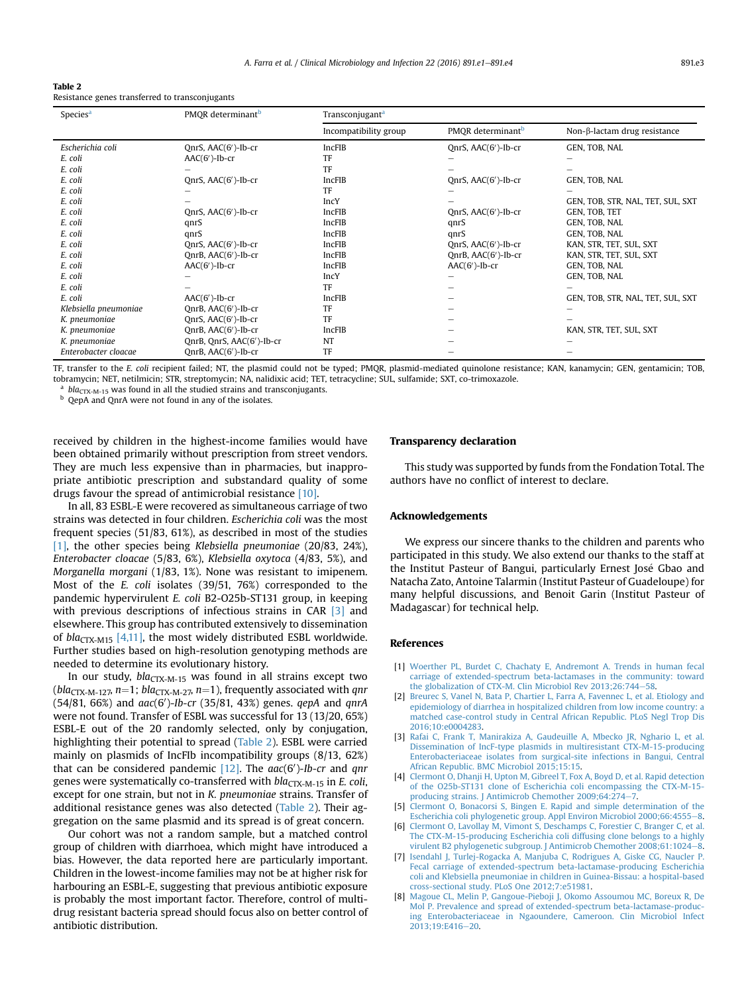<span id="page-2-0"></span>

| Table 2 |  |                                                 |
|---------|--|-------------------------------------------------|
|         |  | Resistance genes transferred to transconjugants |

| Species <sup>a</sup>  | PMOR determinant <sup>b</sup> | Transconjugant <sup>a</sup> |                               |                                   |
|-----------------------|-------------------------------|-----------------------------|-------------------------------|-----------------------------------|
|                       |                               | Incompatibility group       | PMOR determinant <sup>b</sup> | Non- $β$ -lactam drug resistance  |
| Escherichia coli      | OnrS, AAC(6')-Ib-cr           | IncFIB                      | QnrS, AAC(6')-Ib-cr           | GEN, TOB, NAL                     |
| E. coli               | $AAC(6')-Ib-cr$               | TF                          |                               |                                   |
| E. coli               |                               | TF                          |                               |                                   |
| E. coli               | QnrS, AAC(6')-Ib-cr           | IncFIB                      | QnrS, $AAC(6')$ -Ib-cr        | GEN, TOB, NAL                     |
| E. coli               |                               | TF                          |                               |                                   |
| E. coli               |                               | <b>IncY</b>                 |                               | GEN, TOB, STR, NAL, TET, SUL, SXT |
| E. coli               | QnrS, AAC(6')-Ib-cr           | IncFIB                      | QnrS, AAC(6')-Ib-cr           | GEN, TOB, TET                     |
| E. coli               | qnrS                          | IncFIB                      | qnrS                          | GEN, TOB, NAL                     |
| E. coli               | qnrS                          | IncFIB                      | qnrS                          | GEN, TOB, NAL                     |
| E. coli               | OnrS, AAC(6')-Ib-cr           | IncFIB                      | QnrS, $AAC(6')$ -Ib-cr        | KAN, STR, TET, SUL, SXT           |
| E. coli               | OnrB, AAC(6')-Ib-cr           | IncFIB                      | OnrB, AAC(6')-Ib-cr           | KAN, STR, TET, SUL, SXT           |
| E. coli               | $AAC(6')-Ib-cr$               | <b>IncFIB</b>               | $AAC(6')-Ib-cr$               | GEN, TOB, NAL                     |
| E. coli               |                               | <b>IncY</b>                 |                               | GEN, TOB, NAL                     |
| E. coli               |                               | TF                          |                               |                                   |
| E. coli               | $AAC(6')-Ib-cr$               | <b>IncFIB</b>               |                               | GEN, TOB, STR, NAL, TET, SUL, SXT |
| Klebsiella pneumoniae | QnrB, AAC(6')-Ib-cr           | TF                          |                               |                                   |
| K. pneumoniae         | OnrS, AAC(6')-Ib-cr           | TF                          |                               |                                   |
| K. pneumoniae         | OnrB, AAC(6')-Ib-cr           | <b>IncFIB</b>               |                               | KAN, STR, TET, SUL, SXT           |
| K. pneumoniae         | QnrB, QnrS, AAC(6')-Ib-cr     | NT                          |                               |                                   |
| Enterobacter cloacae  | QnrB, AAC(6')-Ib-cr           | TF                          |                               |                                   |

TF, transfer to the E. coli recipient failed; NT, the plasmid could not be typed; PMQR, plasmid-mediated quinolone resistance; KAN, kanamycin; GEN, gentamicin; TOB, tobramycin; NET, netilmicin; STR, streptomycin; NA, nalidixic acid; TET, tetracycline; SUL, sulfamide; SXT, co-trimoxazole.

<sup>a</sup> bla<sub>CTX-M-15</sub> was found in all the studied strains and transconjugants. **b** QepA and QnrA were not found in any of the isolates.

received by children in the highest-income families would have been obtained primarily without prescription from street vendors. They are much less expensive than in pharmacies, but inappropriate antibiotic prescription and substandard quality of some drugs favour the spread of antimicrobial resistance [\[10\].](#page-3-0)

In all, 83 ESBL-E were recovered as simultaneous carriage of two strains was detected in four children. Escherichia coli was the most frequent species (51/83, 61%), as described in most of the studies [1], the other species being Klebsiella pneumoniae (20/83, 24%), Enterobacter cloacae (5/83, 6%), Klebsiella oxytoca (4/83, 5%), and Morganella morgani (1/83, 1%). None was resistant to imipenem. Most of the E. coli isolates (39/51, 76%) corresponded to the pandemic hypervirulent E. coli B2-O25b-ST131 group, in keeping with previous descriptions of infectious strains in CAR [3] and elsewhere. This group has contributed extensively to dissemination of  $bla_{\text{CTX-M15}}$  [4,11], the most widely distributed ESBL worldwide. Further studies based on high-resolution genotyping methods are needed to determine its evolutionary history.

In our study,  $bla_{CTX-M-15}$  was found in all strains except two (bla<sub>CTX-M-127</sub>,  $n=1$ ; bla<sub>CTX-M-27</sub>,  $n=1$ ), frequently associated with qnr  $(54/81, 66%)$  and  $aac(6')$ -Ib-cr  $(35/81, 43%)$  genes. qepA and qnrA were not found. Transfer of ESBL was successful for 13 (13/20, 65%) ESBL-E out of the 20 randomly selected, only by conjugation, highlighting their potential to spread (Table 2). ESBL were carried mainly on plasmids of IncFIb incompatibility groups (8/13, 62%) that can be considered pandemic  $[12]$ . The  $aac(6')$ -Ib-cr and  $qnr$ genes were systematically co-transferred with  $bla_{\text{CTX-M-15}}$  in E. coli, except for one strain, but not in K. pneumoniae strains. Transfer of additional resistance genes was also detected (Table 2). Their aggregation on the same plasmid and its spread is of great concern.

Our cohort was not a random sample, but a matched control group of children with diarrhoea, which might have introduced a bias. However, the data reported here are particularly important. Children in the lowest-income families may not be at higher risk for harbouring an ESBL-E, suggesting that previous antibiotic exposure is probably the most important factor. Therefore, control of multidrug resistant bacteria spread should focus also on better control of antibiotic distribution.

#### Transparency declaration

This study was supported by funds from the Fondation Total. The authors have no conflict of interest to declare.

#### Acknowledgements

We express our sincere thanks to the children and parents who participated in this study. We also extend our thanks to the staff at the Institut Pasteur of Bangui, particularly Ernest Jose Gbao and Natacha Zato, Antoine Talarmin (Institut Pasteur of Guadeloupe) for many helpful discussions, and Benoit Garin (Institut Pasteur of Madagascar) for technical help.

#### References

- [1] [Woerther PL, Burdet C, Chachaty E, Andremont A. Trends in human fecal](http://refhub.elsevier.com/S1198-743X(16)30225-7/sref1) [carriage of extended-spectrum beta-lactamases in the community: toward](http://refhub.elsevier.com/S1198-743X(16)30225-7/sref1) the globalization of CTX-M. Clin Microbiol Rev  $2013:26:744-58$  $2013:26:744-58$ .
- [2] [Breurec S, Vanel N, Bata P, Chartier L, Farra A, Favennec L, et al. Etiology and](http://refhub.elsevier.com/S1198-743X(16)30225-7/sref2) [epidemiology of diarrhea in hospitalized children from low income country: a](http://refhub.elsevier.com/S1198-743X(16)30225-7/sref2) [matched case-control study in Central African Republic. PLoS Negl Trop Dis](http://refhub.elsevier.com/S1198-743X(16)30225-7/sref2) [2016;10:e0004283.](http://refhub.elsevier.com/S1198-743X(16)30225-7/sref2)
- [3] [Rafai C, Frank T, Manirakiza A, Gaudeuille A, Mbecko JR, Nghario L, et al.](http://refhub.elsevier.com/S1198-743X(16)30225-7/sref3) [Dissemination of IncF-type plasmids in multiresistant CTX-M-15-producing](http://refhub.elsevier.com/S1198-743X(16)30225-7/sref3) [Enterobacteriaceae isolates from surgical-site infections in Bangui, Central](http://refhub.elsevier.com/S1198-743X(16)30225-7/sref3) [African Republic. BMC Microbiol 2015;15:15](http://refhub.elsevier.com/S1198-743X(16)30225-7/sref3).
- [4] [Clermont O, Dhanji H, Upton M, Gibreel T, Fox A, Boyd D, et al. Rapid detection](http://refhub.elsevier.com/S1198-743X(16)30225-7/sref4) [of the O25b-ST131 clone of Escherichia coli encompassing the CTX-M-15](http://refhub.elsevier.com/S1198-743X(16)30225-7/sref4) [producing strains. J Antimicrob Chemother 2009;64:274](http://refhub.elsevier.com/S1198-743X(16)30225-7/sref4)-[7](http://refhub.elsevier.com/S1198-743X(16)30225-7/sref4).
- [5] [Clermont O, Bonacorsi S, Bingen E. Rapid and simple determination of the](http://refhub.elsevier.com/S1198-743X(16)30225-7/sref5) [Escherichia coli phylogenetic group. Appl Environ Microbiol 2000;66:4555](http://refhub.elsevier.com/S1198-743X(16)30225-7/sref5)-[8](http://refhub.elsevier.com/S1198-743X(16)30225-7/sref5).
- [6] [Clermont O, Lavollay M, Vimont S, Deschamps C, Forestier C, Branger C, et al.](http://refhub.elsevier.com/S1198-743X(16)30225-7/sref6) [The CTX-M-15-producing Escherichia coli diffusing clone belongs to a highly](http://refhub.elsevier.com/S1198-743X(16)30225-7/sref6) [virulent B2 phylogenetic subgroup. J Antimicrob Chemother 2008;61:1024](http://refhub.elsevier.com/S1198-743X(16)30225-7/sref6)-[8](http://refhub.elsevier.com/S1198-743X(16)30225-7/sref6).
- [7] [Isendahl J, Turlej-Rogacka A, Manjuba C, Rodrigues A, Giske CG, Naucler P.](http://refhub.elsevier.com/S1198-743X(16)30225-7/sref7) [Fecal carriage of extended-spectrum beta-lactamase-producing Escherichia](http://refhub.elsevier.com/S1198-743X(16)30225-7/sref7) [coli and Klebsiella pneumoniae in children in Guinea-Bissau: a hospital-based](http://refhub.elsevier.com/S1198-743X(16)30225-7/sref7) [cross-sectional study. PLoS One 2012;7:e51981.](http://refhub.elsevier.com/S1198-743X(16)30225-7/sref7)
- [8] [Magoue CL, Melin P, Gangoue-Pieboji J, Okomo Assoumou MC, Boreux R, De](http://refhub.elsevier.com/S1198-743X(16)30225-7/sref8) [Mol P. Prevalence and spread of extended-spectrum beta-lactamase-produc](http://refhub.elsevier.com/S1198-743X(16)30225-7/sref8)[ing Enterobacteriaceae in Ngaoundere, Cameroon. Clin Microbiol Infect](http://refhub.elsevier.com/S1198-743X(16)30225-7/sref8) [20](http://refhub.elsevier.com/S1198-743X(16)30225-7/sref8)13:19:E416-20.